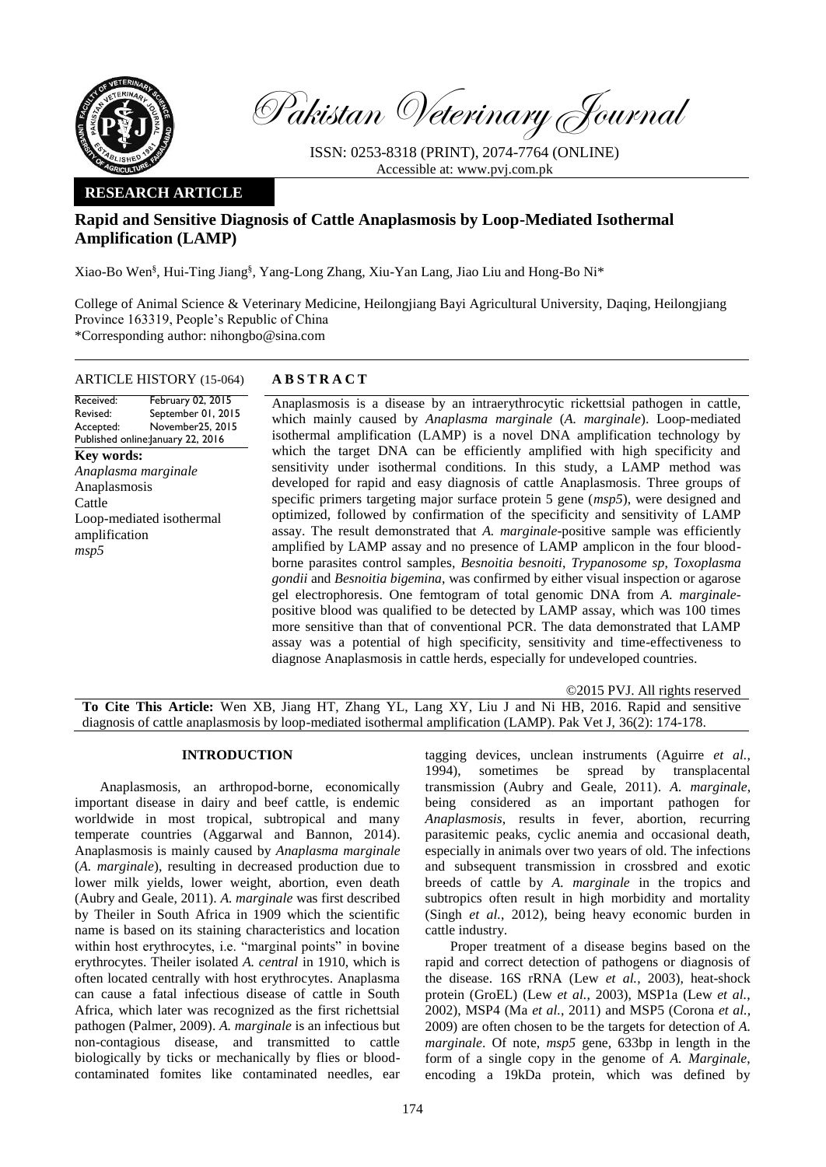

Pakistan Veterinary Journal

ISSN: 0253-8318 (PRINT), 2074-7764 (ONLINE) Accessible at: [www.pvj.com.pk](http://www.pvj.com.pk/)

# **RESEARCH ARTICLE**

# **Rapid and Sensitive Diagnosis of Cattle Anaplasmosis by Loop-Mediated Isothermal Amplification (LAMP)**

Xiao-Bo Wen§ , Hui-Ting Jiang§ , Yang-Long Zhang, Xiu-Yan Lang, Jiao Liu and Hong-Bo Ni\*

College of Animal Science & Veterinary Medicine, Heilongjiang Bayi Agricultural University, Daqing, Heilongjiang Province 163319, People's Republic of China \*Corresponding author: nihongbo@sina.com

#### ARTICLE HISTORY (15-064) **A B S T R A C T**

#### Received: Revised: Accepted: Published online: January 22, 2016 February 02, 2015 September 01, 2015 November25, 2015

**Key words:**  *Anaplasma marginale* Anaplasmosis Cattle Loop-mediated isothermal amplification *msp5*

Anaplasmosis is a disease by an intraerythrocytic rickettsial pathogen in cattle, which mainly caused by *Anaplasma marginale* (*A. marginale*). Loop-mediated isothermal amplification (LAMP) is a novel DNA amplification technology by which the target DNA can be efficiently amplified with high specificity and sensitivity under isothermal conditions. In this study, a LAMP method was developed for rapid and easy diagnosis of cattle Anaplasmosis. Three groups of specific primers targeting major surface protein 5 gene (*msp5*), were designed and optimized, followed by confirmation of the specificity and sensitivity of LAMP assay. The result demonstrated that *A. marginale*-positive sample was efficiently amplified by LAMP assay and no presence of LAMP amplicon in the four bloodborne parasites control samples*, Besnoitia besnoiti*, *Trypanosome sp*, *Toxoplasma gondii* and *Besnoitia bigemina*, was confirmed by either visual inspection or agarose gel electrophoresis. One femtogram of total genomic DNA from *A. marginale*positive blood was qualified to be detected by LAMP assay, which was 100 times more sensitive than that of conventional PCR. The data demonstrated that LAMP assay was a potential of high specificity, sensitivity and time-effectiveness to diagnose Anaplasmosis in cattle herds, especially for undeveloped countries.

©2015 PVJ. All rights reserved **To Cite This Article:** Wen XB, Jiang HT, Zhang YL, Lang XY, Liu J and Ni HB, 2016. Rapid and sensitive diagnosis of cattle anaplasmosis by loop-mediated isothermal amplification (LAMP). Pak Vet J, 36(2): 174-178.

## **INTRODUCTION**

Anaplasmosis*,* an arthropod-borne, economically important disease in dairy and beef cattle, is endemic worldwide in most tropical, subtropical and many temperate countries (Aggarwal and Bannon, 2014). Anaplasmosis is mainly caused by *Anaplasma marginale*  (*A. marginale*), resulting in decreased production due to lower milk yields, lower weight, abortion, even death (Aubry and Geale, 2011). *A. marginale* was first described by Theiler in South Africa in 1909 which the scientific name is based on its staining characteristics and location within host erythrocytes, i.e. "marginal points" in bovine erythrocytes. Theiler isolated *A. central* in 1910, which is often located centrally with host erythrocytes. Anaplasma can cause a fatal infectious disease of cattle in South Africa, which later was recognized as the first richettsial pathogen (Palmer, 2009). *A. marginale* is an infectious but non-contagious disease, and transmitted to cattle biologically by ticks or mechanically by flies or bloodcontaminated fomites like contaminated needles, ear

tagging devices, unclean instruments (Aguirre *et al.*, 1994). sometimes be spread by transplacental sometimes be spread by transplacental transmission (Aubry and Geale, 2011). *A. marginale*, being considered as an important pathogen for *Anaplasmosis*, results in fever, abortion, recurring parasitemic peaks, cyclic anemia and occasional death, especially in animals over two years of old. The infections and subsequent transmission in crossbred and exotic breeds of cattle by *A. marginale* in the tropics and subtropics often result in high morbidity and mortality (Singh *et al.*, 2012), being heavy economic burden in cattle industry.

Proper treatment of a disease begins based on the rapid and correct detection of pathogens or diagnosis of the disease. 16S rRNA (Lew *et al.*, 2003), heat-shock protein (GroEL) (Lew *et al.*, 2003), MSP1a (Lew *et al.*, 2002), MSP4 (Ma *et al.*, 2011) and MSP5 (Corona *et al.*, 2009) are often chosen to be the targets for detection of *A. marginale*. Of note, *msp5* gene, 633bp in length in the form of a single copy in the genome of *A. Marginale*, encoding a 19kDa protein, which was defined by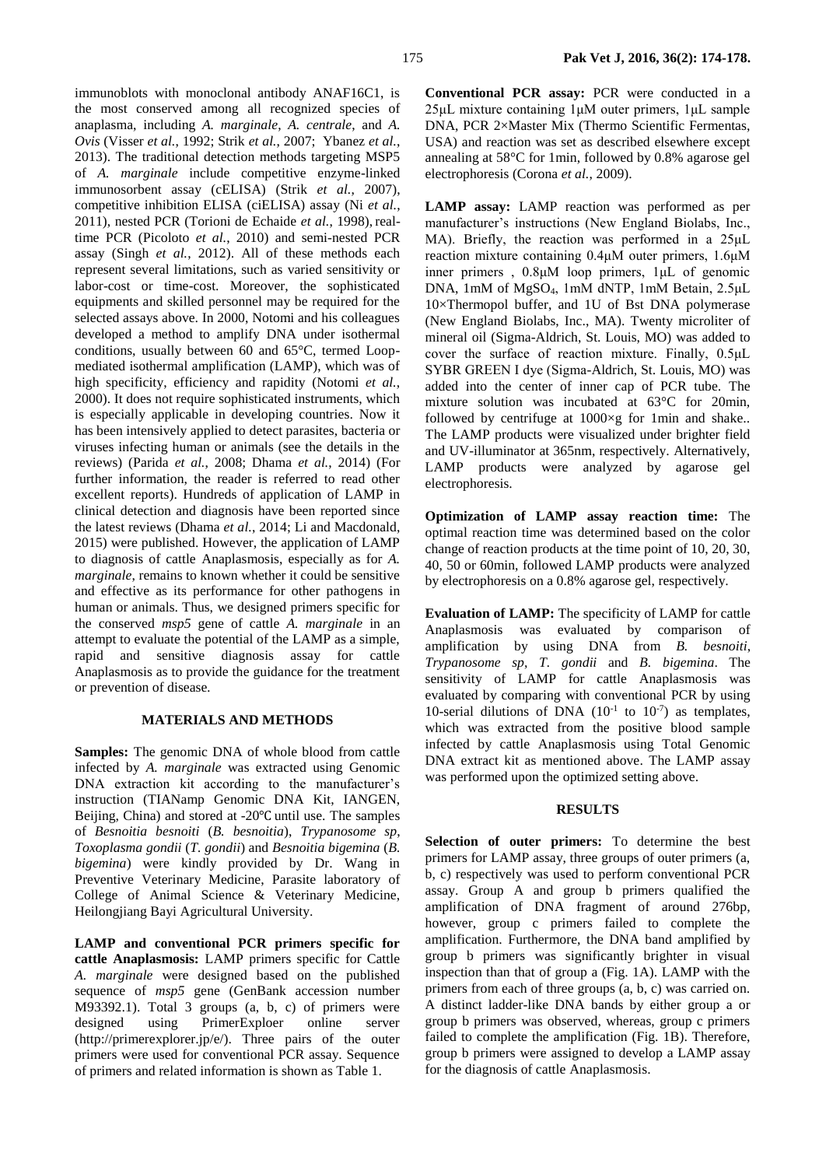immunoblots with monoclonal antibody ANAF16C1, is the most conserved among all recognized species of anaplasma, including *A. marginale*, *A. centrale*, and *A. Ovis* (Visser *et al.*, 1992; Strik *et al.*, 2007; Ybanez *et al.*, 2013). The traditional detection methods targeting MSP5 of *A. marginale* include competitive enzyme-linked immunosorbent assay (cELISA) (Strik *et al.*, 2007), competitive inhibition ELISA (ciELISA) assay (Ni *et al.*, 2011), nested PCR (Torioni de Echaide *et al.*, 1998), realtime PCR (Picoloto *et al.*, 2010) and semi-nested PCR assay (Singh *et al.*, 2012). All of these methods each represent several limitations, such as varied sensitivity or labor-cost or time-cost. Moreover, the sophisticated equipments and skilled personnel may be required for the selected assays above. In 2000, Notomi and his colleagues developed a method to amplify DNA under isothermal conditions, usually between 60 and 65°C, termed Loopmediated isothermal amplification (LAMP), which was of high specificity, efficiency and rapidity (Notomi *et al.*, 2000). It does not require sophisticated instruments, which is especially applicable in developing countries. Now it has been intensively applied to detect parasites, bacteria or viruses infecting human or animals (see the details in the reviews) (Parida *et al.*, 2008; Dhama *et al.*, 2014) (For further information, the reader is referred to read other excellent reports). Hundreds of application of LAMP in clinical detection and diagnosis have been reported since the latest reviews (Dhama *et al.*, 2014; Li and Macdonald, 2015) were published. However, the application of LAMP to diagnosis of cattle Anaplasmosis, especially as for *A. marginale*, remains to known whether it could be sensitive and effective as its performance for other pathogens in human or animals. Thus, we designed primers specific for the conserved *msp5* gene of cattle *A. marginale* in an attempt to evaluate the potential of the LAMP as a simple, rapid and sensitive diagnosis assay for cattle Anaplasmosis as to provide the guidance for the treatment or prevention of disease*.*

## **MATERIALS AND METHODS**

**Samples:** The genomic DNA of whole blood from cattle infected by *A. marginale* was extracted using Genomic DNA extraction kit according to the manufacturer's instruction (TIANamp Genomic DNA Kit, IANGEN, Beijing, China) and stored at -20℃ until use. The samples of *Besnoitia besnoiti* (*B. besnoitia*), *Trypanosome sp*, *Toxoplasma gondii* (*T. gondii*) and *Besnoitia bigemina* (*B. bigemina*) were kindly provided by Dr. Wang in Preventive Veterinary Medicine, Parasite laboratory of College of Animal Science & Veterinary Medicine, Heilongjiang Bayi Agricultural University.

**LAMP and conventional PCR primers specific for cattle Anaplasmosis:** LAMP primers specific for Cattle *A. marginale* were designed based on the published sequence of *msp5* gene (GenBank accession number M93392.1). Total 3 groups (a, b, c) of primers were designed using PrimerExploer online server (http://primerexplorer.jp/e/). Three pairs of the outer primers were used for conventional PCR assay. Sequence of primers and related information is shown as Table 1.

**Conventional PCR assay:** PCR were conducted in a 25μL mixture containing 1μM outer primers, 1μL sample DNA, PCR 2×Master Mix (Thermo Scientific Fermentas, USA) and reaction was set as described elsewhere except annealing at 58°C for 1min, followed by 0.8% agarose gel electrophoresis (Corona *et al.*, 2009).

**LAMP assay:** LAMP reaction was performed as per manufacturer's instructions (New England Biolabs, Inc., MA). Briefly, the reaction was performed in a 25μL reaction mixture containing 0.4μM outer primers, 1.6μM inner primers , 0.8μM loop primers, 1μL of genomic DNA, 1mM of MgSO4, 1mM dNTP, 1mM Betain, 2.5μL 10×Thermopol buffer, and 1U of Bst DNA polymerase (New England Biolabs, Inc., MA). Twenty microliter of mineral oil (Sigma-Aldrich, St. Louis, MO) was added to cover the surface of reaction mixture. Finally, 0.5μL SYBR GREEN І dye (Sigma-Aldrich, St. Louis, MO) was added into the center of inner cap of PCR tube. The mixture solution was incubated at 63°C for 20min, followed by centrifuge at  $1000 \times g$  for 1min and shake.. The LAMP products were visualized under brighter field and UV-illuminator at 365nm, respectively. Alternatively, LAMP products were analyzed by agarose gel electrophoresis.

**Optimization of LAMP assay reaction time:** The optimal reaction time was determined based on the color change of reaction products at the time point of 10, 20, 30, 40, 50 or 60min, followed LAMP products were analyzed by electrophoresis on a 0.8% agarose gel, respectively.

**Evaluation of LAMP:** The specificity of LAMP for cattle Anaplasmosis was evaluated by comparison of amplification by using DNA from *B. besnoiti*, *Trypanosome sp*, *T. gondii* and *B. bigemina*. The sensitivity of LAMP for cattle Anaplasmosis was evaluated by comparing with conventional PCR by using 10-serial dilutions of DNA  $(10^{-1}$  to  $10^{-7})$  as templates, which was extracted from the positive blood sample infected by cattle Anaplasmosis using Total Genomic DNA extract kit as mentioned above. The LAMP assay was performed upon the optimized setting above.

# **RESULTS**

**Selection of outer primers:** To determine the best primers for LAMP assay, three groups of outer primers (a, b, c) respectively was used to perform conventional PCR assay. Group A and group b primers qualified the amplification of DNA fragment of around 276bp, however, group c primers failed to complete the amplification. Furthermore, the DNA band amplified by group b primers was significantly brighter in visual inspection than that of group a (Fig. 1A). LAMP with the primers from each of three groups (a, b, c) was carried on. A distinct ladder-like DNA bands by either group a or group b primers was observed, whereas, group c primers failed to complete the amplification (Fig. 1B). Therefore, group b primers were assigned to develop a LAMP assay for the diagnosis of cattle Anaplasmosis.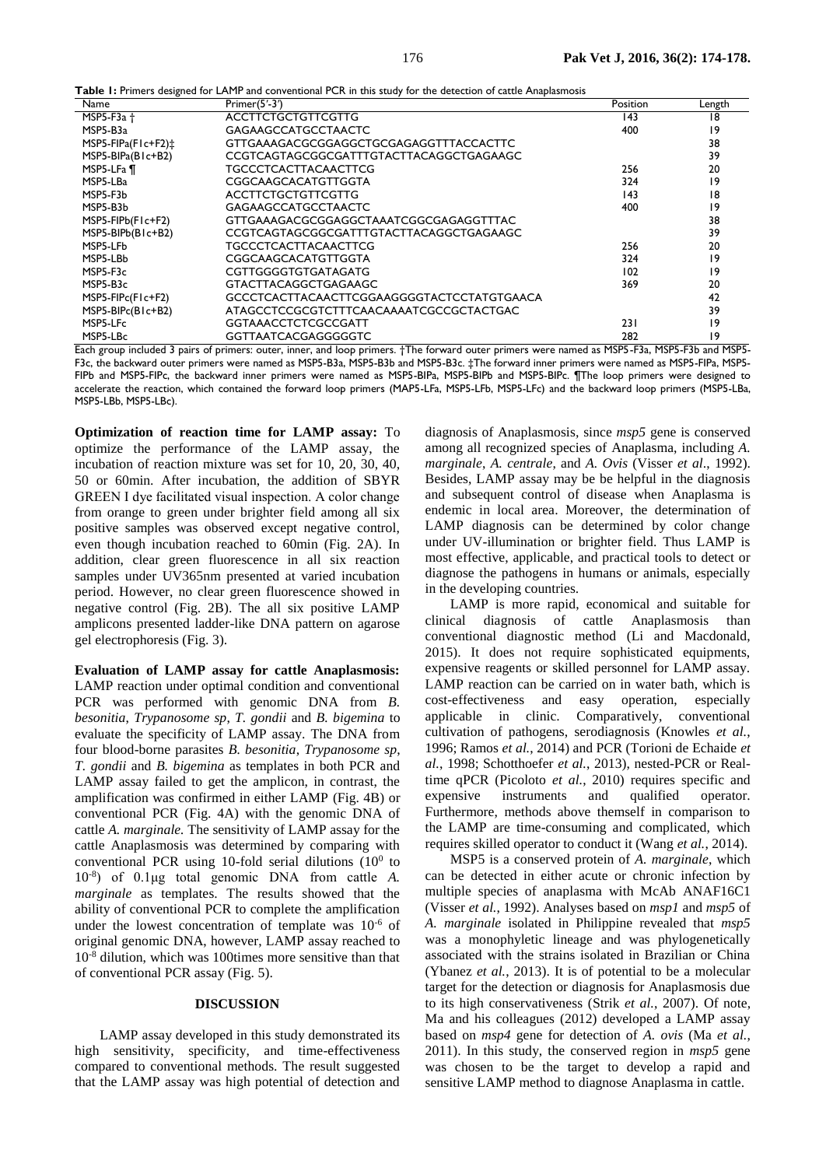| Name                         | Primer $(5'$ -3')                       | Position | Length |
|------------------------------|-----------------------------------------|----------|--------|
| MSP5-F3 $a +$                | <b>ACCTTCTGCTGTTCGTTG</b>               | 143      | 18     |
| MSP5-B3a                     | <b>GAGAAGCCATGCCTAACTC</b>              | 400      | 19     |
| MSP5-FIPa(F1c+F2) $\ddagger$ | GTTGAAAGACGCGGAGGCTGCGAGAGGTTTACCACTTC  |          | 38     |
| $MSP5-BIPa(B1c+B2)$          | CCGTCAGTAGCGGCGATTTGTACTTACAGGCTGAGAAGC |          | 39     |
| MSP5-LFa ¶                   | <b>TGCCCTCACTTACAACTTCG</b>             | 256      | 20     |
| MSP5-LBa                     | CGGCAAGCACATGTTGGTA                     | 324      | 19     |
| MSP5-F3b                     | <b>ACCTTCTGCTGTTCGTTG</b>               | 43       | 18     |
| MSP5-B3b                     | <b>GAGAAGCCATGCCTAACTC</b>              | 400      | 19     |

MSP5-FIPb(F1c+F2) GTTGAAAGACGCGGAGGCTAAATCGGCGAGAGGTTTAC<br>MSP5-BIPb(B1c+B2) CCGTCAGTAGCGGCGATTTGTACTTACAGGCTGAGAAGC

MSP5-LFb TGCCCTCACTTACAACTTCG 256 20 MSP5-LBb CGGCAAGCACATGTTGGTA 324 19

MSP5-B3c GTACTTACAGGCTGAGAAGC 369 20 MSP5-FIPc(F1c+F2) GCCCTCACTTACAACTTCGGAAGGGGTACTCCTATGTGAACA 42

MSP5-LFc GGTAAACCTCTCGCCGATT 231 19

CCGTCAGTAGCGGCGATTTGTACTTACAGGCTGAGAAGC

ATAGCCTCCGCGTCTTTCAACAAAATCGCCGCTACTGAC

**Table 1:** Primers designed for LAMP and conventional PCR in this study for the detection of cattle Anaplasmosis

MSP5-LBc GGTTAATCACGAGGGGGTC 282 19 Each group included 3 pairs of primers: outer, inner, and loop primers. †The forward outer primers were named as MSP5-F3a, MSP5-F3b and MSP5- F3c, the backward outer primers were named as MSP5-B3a, MSP5-B3b and MSP5-B3c. ‡The forward inner primers were named as MSP5-FIPa, MSP5- FIPb and MSP5-FIPc, the backward inner primers were named as MSP5-BIPa, MSP5-BIPb and MSP5-BIPc. ¶The loop primers were designed to accelerate the reaction, which contained the forward loop primers (MAP5-LFa, MSP5-LFb, MSP5-LFc) and the backward loop primers (MSP5-LBa, MSP5-LBb, MSP5-LBc).

19 CGTTGGGGTGTGATAGATG 102 19<br>GTACTTACAGGCTGAGAAGC 102 19 369 20

**Optimization of reaction time for LAMP assay:** To optimize the performance of the LAMP assay, the incubation of reaction mixture was set for 10, 20, 30, 40, 50 or 60min. After incubation, the addition of SBYR GREEN І dye facilitated visual inspection. A color change from orange to green under brighter field among all six positive samples was observed except negative control, even though incubation reached to 60min (Fig. 2A). In addition, clear green fluorescence in all six reaction samples under UV365nm presented at varied incubation period. However, no clear green fluorescence showed in negative control (Fig. 2B). The all six positive LAMP amplicons presented ladder-like DNA pattern on agarose gel electrophoresis (Fig. 3).

**Evaluation of LAMP assay for cattle Anaplasmosis:**  LAMP reaction under optimal condition and conventional PCR was performed with genomic DNA from *B. besonitia*, *Trypanosome sp*, *T. gondii* and *B. bigemina* to evaluate the specificity of LAMP assay. The DNA from four blood-borne parasites *B. besonitia*, *Trypanosome sp*, *T. gondii* and *B. bigemina* as templates in both PCR and LAMP assay failed to get the amplicon, in contrast, the amplification was confirmed in either LAMP (Fig. 4B) or conventional PCR (Fig. 4A) with the genomic DNA of cattle *A. marginale.* The sensitivity of LAMP assay for the cattle Anaplasmosis was determined by comparing with conventional PCR using 10-fold serial dilutions  $(10<sup>0</sup>$  to 10-8 ) of 0.1μg total genomic DNA from cattle *A. marginale* as templates. The results showed that the ability of conventional PCR to complete the amplification under the lowest concentration of template was 10-6 of original genomic DNA, however, LAMP assay reached to 10-8 dilution, which was 100times more sensitive than that of conventional PCR assay (Fig. 5).

#### **DISCUSSION**

LAMP assay developed in this study demonstrated its high sensitivity, specificity, and time-effectiveness compared to conventional methods. The result suggested that the LAMP assay was high potential of detection and diagnosis of Anaplasmosis*,* since *msp5* gene is conserved among all recognized species of Anaplasma, including *A. marginale*, *A. centrale*, and *A. Ovis* (Visser *et al*., 1992). Besides, LAMP assay may be be helpful in the diagnosis and subsequent control of disease when Anaplasma is endemic in local area. Moreover, the determination of LAMP diagnosis can be determined by color change under UV-illumination or brighter field. Thus LAMP is most effective, applicable, and practical tools to detect or diagnose the pathogens in humans or animals, especially in the developing countries.

LAMP is more rapid, economical and suitable for clinical diagnosis of cattle Anaplasmosis than conventional diagnostic method (Li and Macdonald, 2015). It does not require sophisticated equipments, expensive reagents or skilled personnel for LAMP assay. LAMP reaction can be carried on in water bath, which is cost-effectiveness and easy operation, especially applicable in clinic. Comparatively, conventional cultivation of pathogens, serodiagnosis (Knowles *et al.*, 1996; Ramos *et al.*, 2014) and PCR (Torioni de Echaide *et al.*, 1998; Schotthoefer *et al.*, 2013), nested-PCR or Realtime qPCR (Picoloto *et al.*, 2010) requires specific and expensive instruments and qualified operator. Furthermore, methods above themself in comparison to the LAMP are time-consuming and complicated, which requires skilled operator to conduct it (Wang *et al.*, 2014).

MSP5 is a conserved protein of *A. marginale*, which can be detected in either acute or chronic infection by multiple species of anaplasma with McAb ANAF16C1 (Visser *et al.*, 1992). Analyses based on *msp1* and *msp5* of *A. marginale* isolated in Philippine revealed that *msp5* was a monophyletic lineage and was phylogenetically associated with the strains isolated in Brazilian or China (Ybanez *et al.*, 2013). It is of potential to be a molecular target for the detection or diagnosis for Anaplasmosis due to its high conservativeness (Strik *et al.*, 2007). Of note, Ma and his colleagues (2012) developed a LAMP assay based on *msp4* gene for detection of *A. ovis* (Ma *et al.*, 2011). In this study, the conserved region in *msp5* gene was chosen to be the target to develop a rapid and sensitive LAMP method to diagnose Anaplasma in cattle.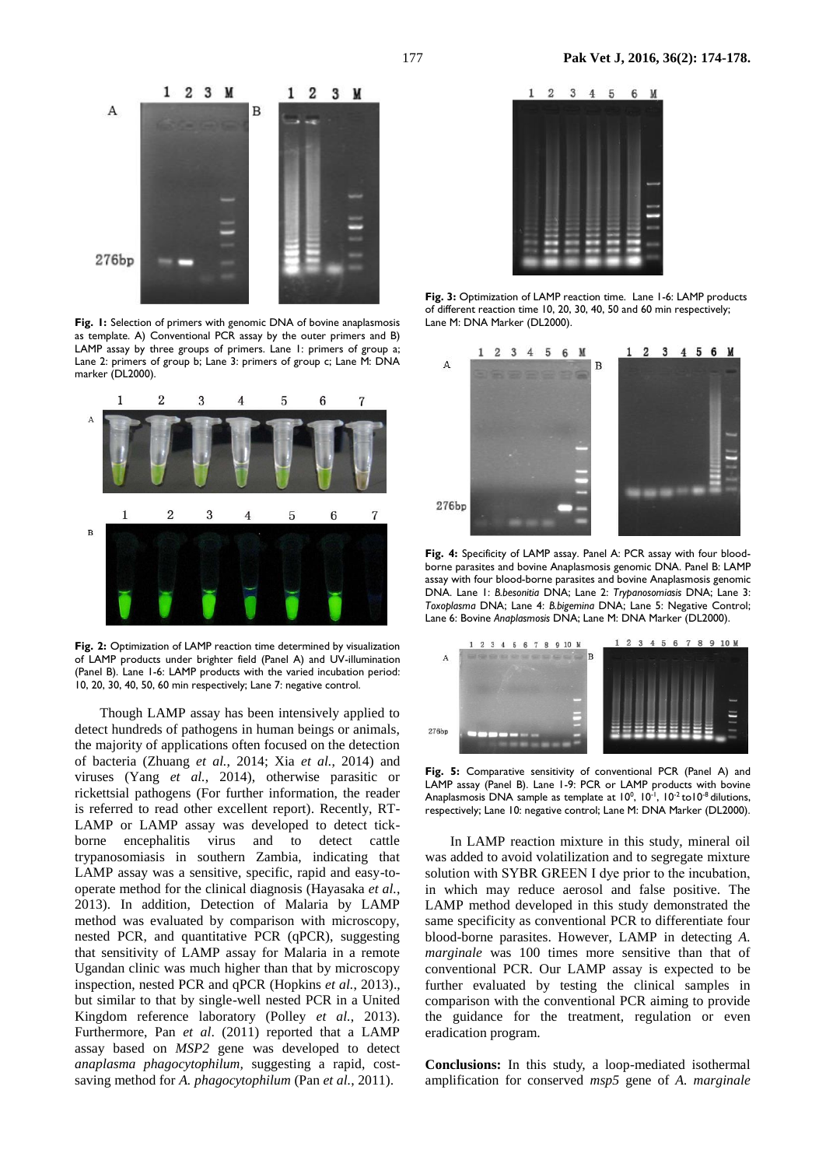

**Fig. 1:** Selection of primers with genomic DNA of bovine anaplasmosis as template. A) Conventional PCR assay by the outer primers and B) LAMP assay by three groups of primers. Lane 1: primers of group a; Lane 2: primers of group b; Lane 3: primers of group c; Lane M: DNA marker (DL2000).



**Fig. 2:** Optimization of LAMP reaction time determined by visualization of LAMP products under brighter field (Panel A) and UV-illumination (Panel B). Lane 1-6: LAMP products with the varied incubation period: 10, 20, 30, 40, 50, 60 min respectively; Lane 7: negative control.

Though LAMP assay has been intensively applied to detect hundreds of pathogens in human beings or animals, the majority of applications often focused on the detection of bacteria (Zhuang *et al.*, 2014; Xia *et al.*, 2014) and viruses (Yang *et al.*, 2014), otherwise parasitic or rickettsial pathogens (For further information, the reader is referred to read other excellent report). Recently, RT-LAMP or LAMP assay was developed to detect tickborne encephalitis virus and to detect cattle trypanosomiasis in southern Zambia, indicating that LAMP assay was a sensitive, specific, rapid and easy-tooperate method for the [clinical diagnosis](app:ds:clinical%20diagnosis) (Hayasaka *et al.*, 2013). In addition, Detection of Malaria by LAMP method was evaluated by comparison with microscopy, nested PCR, and quantitative PCR (qPCR), suggesting that sensitivity of LAMP assay for Malaria in a remote Ugandan clinic was much higher than that by microscopy inspection, nested PCR and qPCR (Hopkins *et al.*, 2013)., but similar to that by single-well nested PCR in a United Kingdom reference laboratory (Polley *et al.*, 2013). Furthermore, Pan *et al*. (2011) reported that a LAMP assay based on *MSP2* gene was developed to detect *anaplasma phagocytophilum,* suggesting a rapid, costsaving method for *A. phagocytophilum* (Pan *et al.*, 2011).



**Fig. 3:** Optimization of LAMP reaction time. Lane 1-6: LAMP products of different reaction time 10, 20, 30, 40, 50 and 60 min respectively; Lane M: DNA Marker (DL2000).



**Fig. 4:** Specificity of LAMP assay. Panel A: PCR assay with four bloodborne parasites and bovine Anaplasmosis genomic DNA. Panel B: LAMP assay with four blood-borne parasites and bovine Anaplasmosis genomic DNA. Lane 1: *B.besonitia* DNA; Lane 2: *Trypanosomiasis* DNA; Lane 3: *Toxoplasma* DNA; Lane 4: *B.bigemina* DNA; Lane 5: Negative Control; Lane 6: Bovine *Anaplasmosis* DNA; Lane M: DNA Marker (DL2000).



**Fig. 5:** Comparative sensitivity of conventional PCR (Panel A) and LAMP assay (Panel B). Lane 1-9: PCR or LAMP products with bovine Anaplasmosis DNA sample as template at  $10^0$ ,  $10^{-1}$ ,  $10^{-2}$  to  $10^{-8}$  dilutions, respectively; Lane 10: negative control; Lane M: DNA Marker (DL2000).

In LAMP reaction mixture in this study, mineral oil was added to avoid volatilization and to segregate mixture solution with SYBR GREEN I dye prior to the incubation, in which may reduce aerosol and false positive. The LAMP method developed in this study demonstrated the same specificity as conventional PCR to differentiate four blood-borne parasites. However, LAMP in detecting *A. marginale* was 100 times more sensitive than that of conventional PCR. Our LAMP assay is expected to be further evaluated by testing the clinical samples in comparison with the conventional PCR aiming to provide the guidance for the treatment, regulation or even eradication program.

**Conclusions:** In this study, a loop-mediated isothermal amplification for conserved *msp5* gene of *A. marginale*